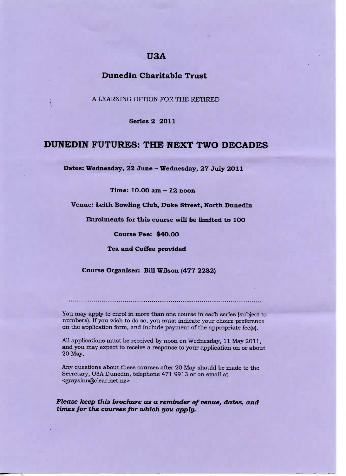# **U3A**

# **Dunedin Charitable Trust**

: A LEARNING OPTION FOR THE RETIRED

**Series** 2 2011

# **DUNEDIN FUTURES: THE NEXT TWO DECADES**

**Dates: Wednesday, 22 June - Wednesday, 27 July 2O11**

**Time: 1O.OO am - 12 noon**

**Venue: Leith Bowling Club, Duke Street, North Dunedin**

**Enrolments for this course will be limited to 1OO**

**Course Fee: \$40.00**

**Tea and Coffee provided**

**Course Organiser: Bill Wilson (477 2282)**

You may apply to enrol in more than one course in each series (subject to numbers). If you wish to do so, you must indicate your choice preference on the application form, and include payment of the appropriate fee(s).

All applications must be received by noon on Wednesday, 11 May 2011, and you may expect to receive a response to your application on or about 20 May.

Any questions about these courses after 20 May should be made to the Secretary, U3A Dunedin, telephone 471 9913 or on email at <graysinn@clear.net.nz>

*Please keep this brochure as a reminder of venue, dates, and times for the courses for which you apply.*